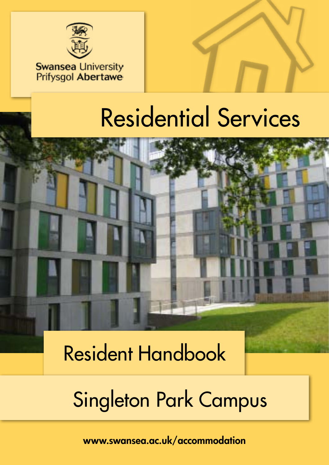

### **Swansea University Prifysgol Abertawe**



# Residential Services



Resident Handbook

# Singleton Park Campus

<www.swansea.ac.uk/accommodation>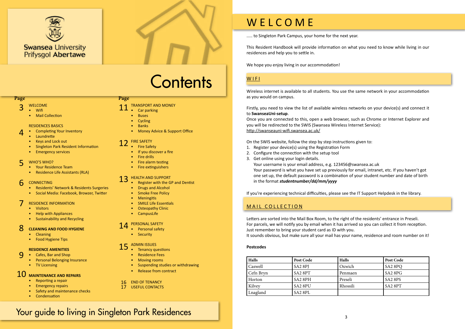

# **Contents**

#### **Page Page**

..... to Singleton Park Campus, your home for the next year.

This Resident Handbook will provide information on what you need to know while living in our residences and help you to settle in.

We hope you enjoy living in our accommodation!

### WIFI

Wireless internet is available to all students. You use the same network in your accommodation as you would on campus.

Firstly, you need to view the list of available wireless networks on your device(s) and connect it to **SwanseaUni-setup**.

Once you are connected to this, open a web browser, such as Chrome or Internet Explorer and you will be redirected to the SWIS (Swansea Wireless Internet Service): http://swanseauni-wifi.swansea.ac.uk/

On the SWIS website, follow the step by step instructions given to:

- 1. Register your device(s) using the Registration Form
- 2. Configure the connection with the setup tool
- 3. Get online using your login details.

Your username is your email address, e.g. [123456@swansea.ac.uk](mailto:123456@swansea.ac.uk) Your password is what you have set up previously for email, intranet, etc. If you haven't got one set up, the default password is a combination of your student number and date of birth in the format *studentnumber/dd/mm/yyyy*

If you're experiencing technical difficulties, please see the IT Support Helpdesk in the library.

### MAIL COLLECTION

- **[Fire Safety](#page-6-0)**
- [If you discover a fire](#page-6-0)
- [Fire drills](#page-6-0)
- [Fire alarm testing](#page-6-0)
- [Fire extinguishers](#page-6-0)

Letters are sorted into the Mail Box Room, to the right of the residents' entrance in Preseli. For parcels, we will notify you by email when it has arrived so you can collect it from reception. Just remember to bring your student card as ID with you. It sounds obvious, but make sure all your mail has your name, residence and room number on it!

#### **CONNECTIN[G](#page-3-0)** 6

#### **Postcodes**

| Halls     | Post Code           | <b>Halls</b> | Post Code                       |
|-----------|---------------------|--------------|---------------------------------|
| Caswell   | SA <sub>2</sub> 8PJ | Oxwich       | SA <sub>2</sub> 8PQ             |
| Cefn Bryn | SA <sub>2</sub> 8PT | Penmaen      | SA <sub>2</sub> 8P <sub>G</sub> |
| Horton    | SA <sub>2</sub> 8PH | Preseli      | SA <sub>2</sub> 8PS             |
| Kilvey    | SA <sub>2</sub> 8PU | Rhossili     | SA2 8PT                         |
| Lnagland  | SA <sub>2</sub> 8PL |              |                                 |

- WELCOME 3
- Wifi
	- Mail Collection

#### RESIDENCES BASICS

- Completing Your Inventory
- Laundrette
- Keys and Lock out
- Singleton Park Resident Information
- Emergency services

- [Your Residence Team](#page-3-0)
- Residence Life Assistants (RLA)

- [Residents' Network & Residents Surgeries](#page-3-0)
- [Social Medi](#page-3-0)a: Facebook, Browzer, Twitter

- [Visitors](#page-4-0)
- [Help with Appliances](#page-4-0)
- Sustainability and Recycling

- Cleaning
- Food Hygiene Tips

#### **RESIDENCE AMENITIES**

- Cafes, Bar and Shop  $\Omega$ 
	- Personal Belonging Insurance
	- TV Licensing

- [Reporting a repair](#page-5-0)
- [Emergency repairs](#page-5-0)
- [Safety and maintenance checks](#page-5-0)
- [Condensation](#page-5-0)

#### WHO'S WHO? 5

- [TRANSPORT AND MONEY](#page-5-0) 11
	- [Car parking](#page-5-0)
	- [Buses](#page-5-0)
	- [Cycling](#page-5-0)
	- [Banks](#page-5-0)
	- [Money Advice & Support Office](#page-5-0)

#### [RESIDENCE INFORMATION](#page-4-0) 7

#### **CLEANING AND FOOD HYGIENE** 8

#### **[MAINTENANCE AND REPAIRS](#page-5-0)** 10

- [Register with the GP and Dentist](#page-6-0)
- [Drugs and Alcohol](#page-6-0)
- [Smoke Free Policy](#page-6-0)
- **[Meningitis](#page-6-0)**
- [SMILE Life Essentials](#page-6-0)
- [Osteopathy Clinic](#page-6-0)
- CampusLife

#### [FIRE SAFETY](#page-6-0) 12

- [Personal safety](#page-7-0)
- [Security](#page-7-0)

#### [HEALTH AND SUPPORT](#page-6-0) 13

- [Tenancy questions](#page-7-0)
- [Residence Fees](#page-7-0)
- [Moving rooms](#page-7-0)
- [Suspending studies or withdrawing](#page-7-0)
- [Release from contract](#page-7-0)

#### [PERSONAL SAFETY](#page-7-0) 14

#### [ADMIN ISSUES](#page-7-0) 15

4

#### [END OF TENANCY](#page-8-0) 16

[USEFUL CONTACTS](#page-8-0) 17

### Your guide to living in Singleton Park Residences

# W E L C O M E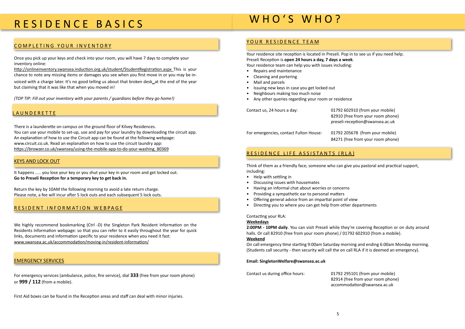### RESIDENCE BASICS

### COMPLETING YOUR INVENTORY

Once you pick up your keys and check into your room, you will have 7 days to complete your inventory online:

http://onlineinventory.swansea.induction.org.uk/student/StudentRegistration.aspx This is your chance to note any missing items or damages you see when you first move in or you may be invoiced with a charge later. It's no good telling us about that broken desk\_at the end of the year but claiming that it was like that when you moved in!

*(TOP TIP: Fill out your inventory with your parents / guardians before they go home!)*

#### **LAUNDERETTE**

There is a launderette on campus on the ground floor of Kilvey Residences. You can use your mobile to set-up, use and pay for your laundry by downloading the circuit app. An explanation of how to use the Circuit app can be found at the following webpage: <www.circuit.co.uk>. Read an explanation on how to use [the circuit laundry app](https://browzer.co.uk/swansea/using-the-mobile-app-to-do-your-washing_80369): https://browzer.co.uk/swansea/using-the-mobile-app-to-do-your-washing\_80369

#### KEYS AND LOCK OUT

It happens ..... you lose your key or you shut your key in your room and get locked out. **Go to Preseli Reception for a temporary key to get back in.**

Return the key by 10AM the following morning to avoid a late return charge. Please note, a fee will incur after 5 lock outs and each subsequent 5 lock outs.

#### RESIDENT INFORMATION WEBPAGE

We highly recommend bookmarking (Ctrl -D) the [Singleton Park Resident Information on the](http://www.swansea.ac.uk/accommodation/residences/singleton-campus-residences/singletonparkresidentinformation2016/)  [Residents Information webpage: s](http://www.swansea.ac.uk/accommodation/residences/singleton-campus-residences/singletonparkresidentinformation2016/)o that you can refer to it easily throughout the year for quick links, documents and information specific to your residence when you need it fast: www.swansea.ac.uk/accommodation/moving-in/resident-information/

For emergency services (ambulance, police, fire service), dial **333** (free from your room phone) or **999 / 112** (from a mobile).

First Aid boxes can be found in the Reception areas and staff can deal with minor injuries.

### WHO'S WHO?

#### YOUR RESIDENCE TEAM

Your residence site reception is located in Preseli. Pop in to see us if you need help. Preseli Reception is **open 24 hours a day, 7 days a week**. Your residence team can help you with issues including:

- Repairs and maintenance
- Cleaning and portering
- Mail and parcels
- Issuing new keys in case you get locked out
- Neighbours making too much noise
- Any other queries regarding your room or residence

Contact us, 24 hours a day: 01792 602910 (from your mobile) 82910 (free from your room phone) [preseli-reception@swansea.ac.uk](mailto:preseli-reception@swansea.ac.uk) For emergencies, contact Fulton House: 01792 205678 (from your mobile)

84271 (free from your room phone)

#### RESIDENCE LIFE ASSISTANTS (RLA)

Think of them as a friendly face; someone who can give you pastoral and practical support, including:

- Help with settling in
- Discussing issues with housemates
- Having an informal chat about worries or concerns
- Providing a sympathetic ear to personal matters
- Offering general advice from an impartial point of view
- Directing you to where you can get help from other departments

#### Contacting your RLA:

#### **Weekedays**

**2:00PM - 10PM daily**. You can visit Preseli while they're covering Reception or on duty around halls. Or call 82910 (free from your room phone) / 01792 602910 (from a mobile). **Weekend**

On call emergency time starting 9:00am Saturday morning and ending 6:00am Monday morning. (Students call security - then security will call the on call RLA if it is deemed an emergency).

#### **Email: [SingletonWelfare@swansea.ac.uk](mailto:SingletonWelfare@swansea.ac.uk)**

Contact us during office hours: 01792 295101 (from your mobile)

 82914 (free from your room phone) [accommodation@swansea.ac.uk](mailto:accommodation@swansea.ac.uk)

#### EMERGENCY SERVICES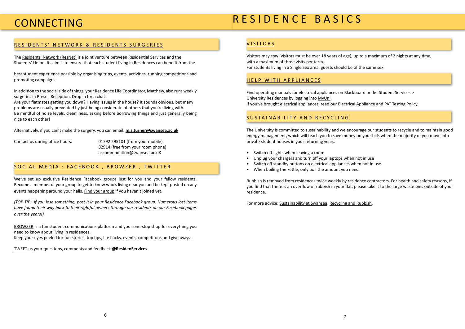### <span id="page-3-0"></span>CONNECTING

### [RESIDENTS' NETWORK & RESIDENTS SURGERIES](http://www.swansea.ac.uk/accommodation/preparingforarrival/residentsnetwork/)

The [Residents' Network \(ResNet\)](http://www.swansea.ac.uk/accommodation/preparingforarrival/residentsnetwork/) is a joint venture between Residential Services and the Students' Union. Its aim is to ensure that each student living in Residences can benefit from the

best student experience possible by organising trips, events, activities, running competitions and promoting campaigns.

In addition to the social side of things, your Residence Life Coordinator, Matthew, also runs weekly surgeries in Preseli Reception. Drop in for a chat!

Are your flatmates getting you down? Having issues in the house? It sounds obvious, but many problems are usually prevented by just being considerate of others that you're living with. Be mindful of noise levels, cleanliness, asking before borrowing things and just generally being nice to each other!

Alternatively, if you can't make the surgery, you can email: **[m.s.turner@swansea.ac.uk](mailto:m.s.turner@swansea.ac.uk)**

Contact us during office hours: 01792 295101 (from your mobile) 82914 (free from your room phone) [accommodation@swansea.ac.uK](mailto:accommodation@swansea.ac.uK)

#### SOCIAL MEDIA : [FACEBOOK](https://www.facebook.com/SwanseaAccommodation) , [BROWZER](http://browzer.co.uk/swansea) , [TWITTER](https://twitter.com/ResidenServices)

We've set up exclusive Residence Facebook groups just for you and your fellow residents. Become a member of your group to get to know who's living near you and be kept posted on any events happening around your halls. [Find your group](http://www.swansea.ac.uk/accommodation/a-z/facebooktwitterflickr/) if you haven't joined yet.

*(TOP TIP: If you lose something, post it in your Residence Facebook group. Numerous lost items have found their way back to their rightful owners through our residents on our Facebook pages over the years!)*

[BROWZER](http://browzer.co.uk/swansea) is a fun student communications platform and your one-stop shop for everything you need to know about living in residences.

Keep your eyes peeled for fun stories, top tips, life hacks, events, competitons and giveaways!

[TWEET](https://twitter.com/ResidenServices) us your questions, comments and feedback **@ResidenServices**

#### **VISITORS**

## R E S I D E N C E B A S I C S

Visitors may stay (visitors must be over 18 years of age), up to a maximum of 2 nights at any time, with a maximum of three visits per term. For students living in a Single Sex area, guests should be of the same sex.

#### HELP WITH APPLIANCES

Find operating manuals for electrical appliances on Blackboard under Student Services > University Residences by logging into [MyUni](https://myuni.swan.ac.uk/). If you've brought electrical appliances, read our [Electrical Appliance and PAT Testing Policy](http://www.swansea.ac.uk/media/ELECTRICAL%20APPLIANCES%20POLICY%202012%20RESIDENCES.pdf).

### SUSTAINABILITY AND RECYCLING

The University is committed to sustainability and we encourage our students to recycle and to maintain good energy management, which will teach you to save money on your bills when the majority of you move into private student houses in your returning years.

- Switch off lights when leaving a room
- Unplug your chargers and turn off your laptops when not in use
- Switch off standby buttons on electrical appliances when not in use
- When boiling the kettle, only boil the amount you need

Rubbish is removed from residences twice weekly by residence contractors. For health and safety reasons, if you find that there is an overflow of rubbish in your flat, please take it to the large waste bins outside of your residence.

For more advice: [Sustainability at Swansea,](http://www.swansea.ac.uk/sustainability/) [Recycling and Rubbish.](http://www.swansea.gov.uk/recycling)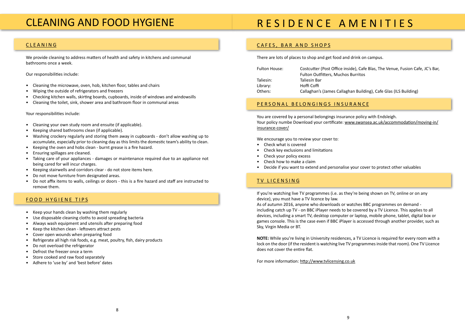### <span id="page-4-0"></span>CLEANING AND FOOD HYGIENE

### CLEANING

We provide cleaning to address matters of health and safety in kitchens and communal bathrooms once a week.

Our responsibilities include:

- Cleaning the microwave, oven, hob, kitchen floor, tables and chairs
- Wiping the outside of refrigerators and freezers
- Checking kitchen walls, skirting boards, cupboards, inside of windows and windowsills
- Cleaning the toilet, sink, shower area and bathroom floor in communal areas

Your responsibilities include:

- Cleaning your own study room and ensuite (if applicable).
- Keeping shared bathrooms clean (if applicable).
- Washing crockery regularly and storing them away in cupboards don't allow washing up to accumulate, especially prior to cleaning day as this limits the domestic team's ability to clean.
- Keeping the oven and hobs clean burnt grease is a fire hazard.
- Ensuring spillages are cleaned.
- Taking care of your appliances damages or maintenance required due to an appliance not being cared for will incur charges.
- Keeping stairwells and corridors clear do not store items here.
- Do not move furniture from designated areas.
- Do not affix items to walls, ceilings or doors this is a fire hazard and staff are instructed to remove them.

### FOOD HYGIENE TIPS

- Keep your hands clean by washing them regularly
- Use disposable cleaning cloths to avoid spreading bacteria
- Always wash equipment and utensils after preparing food
- Keep the kitchen clean leftovers attract pests
- Cover open wounds when preparing food
- Refrigerate all high risk foods, e.g. meat, poultry, fish, dairy products
- Do not overload the refrigerator
- Defrost the freezer once a term
- Store cooked and raw food separately
- Adhere to 'use by' and 'best before' dates

# R E S I D E N C E A M E N I T I E S

#### CAFES, BAR AND SHOPS

There are lots of places to shop and get food and drink on campus.

| <b>Fulton House:</b> | Costcutter (Post Office insid      |  |
|----------------------|------------------------------------|--|
|                      | <b>Fulton Outfitters, Muchos I</b> |  |
| Taliesin:            | Taliesin Bar                       |  |
| Library:             | Hoffi Coffi                        |  |
| Others:              | Callaghan's (James Callagha        |  |

#### [PERSONAL BELONGINGS INSURANCE](http://www.swansea.ac.uk/accommodation/preparingforarrival/insurancecover/)

You are covered by a personal belongings insurance policy with Endsleigh. Your policy numbe [Download your certificate:](https://www.swansea.ac.uk/accommodation/moving-in/insurance-cover/) [www.swansea.ac.uk/accommodation/moving-in/](https://www.swansea.ac.uk/accommodation/moving-in/insurance-cover/) [insurance-cover/](https://www.swansea.ac.uk/accommodation/moving-in/insurance-cover/)

We encourage you to review your cover to:

- Check what is covered
- Check key exclusions and limitations
- Check your policy excess
- Check how to make a claim
- Decide if you want to extend and personalise your cover to protect other valuables

### TV LICENSING

If you're watching live TV programmes (i.e. as they're being shown on TV, online or on any device), you must have a TV licence by law. As of autumn 2016, anyone who downloads or watches BBC programmes on demand including catch up TV - on BBC iPlayer needs to be covered by a TV Licence. This applies to all devices, including a smart TV, desktop computer or laptop, mobile phone, tablet, digital box or games console. This is the case even if BBC iPlayer is accessed through another provider, such as Sky, Virgin Media or BT.

**NOTE:** While you're living in University residences, a TV Licence is required for every room with a lock on the door (if the resident is watching live TV programmes inside that room). One TV Licence does not cover the entire flat.

For more information:<http://www.tvlicensing.co.uk>

ide), Cafe Blas, The Venue, Fusion Cafe, JC's Bar, **Burritos** 

an Building), Cafe Glas (ILS Building)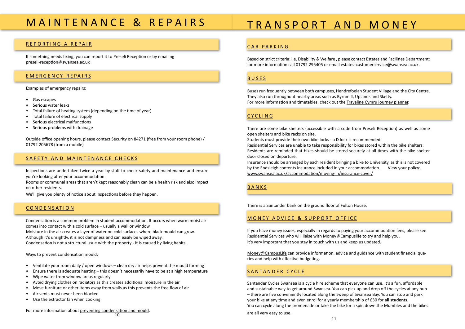## <span id="page-5-0"></span>M A I N T E N A N C E & R E P A I R S

#### REPORTING A REPAIR

If something needs fixing, you can report it to Preseli Reception or by emailing [preseli-reception@swansea.ac.uk](mailto:preseli-reception@swansea.ac.uk) 

#### EMERGENCY REPAIRS

Examples of emergency repairs:

- Gas escapes
- Serious water leaks
- Total failure of heating system (depending on the time of year)
- Total failure of electrical supply
- Serious electrical malfunctions
- Serious problems with drainage

Outside office opening hours, please contact Security on 84271 (free from your room phone) / 01792 205678 (from a mobile)

#### SAFETY AND MAINTENANCE CHECKS

Inspections are undertaken twice a year by staff to check safety and maintenance and ensure you're looking after your accommodation.

Rooms or communal areas that aren't kept reasonably clean can be a health risk and also impact on other residents.

We'll give you plenty of notice about inspections before they happen.

#### **CONDENSATION**

Condensation is a common problem in student accommodation. It occurs when warm moist air comes into contact with a cold surface – usually a wall or window. Moisture in the air creates a layer of water on cold surfaces where black mould can grow. Although it's unsightly, it is not dampness and can easily be wiped away. Condensation is not a structural issue with the property - it is caused by living habits.

There are some bike shelters (accessible with a code open shelters and bike racks on site.

Ways to prevent condensation mould:

Students must provide their own bike locks - a D lock is Residential Services are unable to take responsibility for Residents are reminded that bikes should be stored secure door closed on departure.

Insurance should be arranged by each resident bringing by the Endsleigh contents insurance included in your a www.swansea.ac.uk/accommodation/moving-in/insurance-

- Ventilate your room daily / open windows clean dry air helps prevent the mould forming
- Ensure there is adequate heating this doesn't necessarily have to be at a high temperature
- Wipe water from window areas regularly
- Avoid drying clothes on radiators as this creates additional moisture in the air
- Move furniture or other items away from walls as this prevents the free flow of air
- Air vents must never been blocked
- Use the extractor fan when cooking

For more information about [preventing condensation and mould](https://www.swansea.ac.uk/media/CondensationMouldLeaflet.pdf).

### TRANSPORT AN

Money@CampusLife can provide information, advice and guidance with student financial que ries and help with effective budgeting.

### CAR PARKING

Based on strict criteria: i.e. Disability & Welfare, please for more information call 01792 295405 or email estate

#### BUSES

Buses run frequently between both campuses, Hendrer They also run throughout nearby areas such as Byrnmi For more information and timetables, check out the Traveline

#### CYCLING

#### BANKS

There is a Santander bank on the ground floor of Fulto

#### MONEY ADVICE & SUPPORT OFFI

If you have money issues, especially in regards to payir Residential Services who will liaise with Money@Camp It's very important that you stay in touch with us and k

#### SANTANDER CYCLE

Santander Cycles Swansea is a cycle hire scheme that everyone can use. It's a fun, affordable and sustainable way to get around Swansea. You can pick up and drop off the cycles at any hub – there are five conveniently located along the sweep of Swansea Bay. You can stop and park your bike at any time and even enrol for a yearly membership of £30 for **[all students.](http://https://www.swansea.ac.uk/sustainability/travel/by-bike/santander-cycles/)** You can cycle along the promenade or take the bike for a spin down the Mumbles and the bikes

are all very easy to use.

| D MONEY                                                                                                                                                                                                 |  |  |  |  |
|---------------------------------------------------------------------------------------------------------------------------------------------------------------------------------------------------------|--|--|--|--|
|                                                                                                                                                                                                         |  |  |  |  |
| contact Estates and Facilities Department:<br>es-customerservice@swansea.ac.uk.                                                                                                                         |  |  |  |  |
| foelan Student Village and the City Centre.<br>II, Uplands and Sketty.                                                                                                                                  |  |  |  |  |
| aveline Cymru journey planner.                                                                                                                                                                          |  |  |  |  |
| from Preseli Reception) as well as some<br>s recommended.<br>or bikes stored within the bike shelters.<br>securely at all times with the bike shelter<br>g a bike to University, as this is not covered |  |  |  |  |
| ccommodation.<br>View your policy:<br><u>ance-cover/</u>                                                                                                                                                |  |  |  |  |
| n House.                                                                                                                                                                                                |  |  |  |  |
| CЕ                                                                                                                                                                                                      |  |  |  |  |
| ng your accommodation fees, please see<br>buslife to try and help you.<br>eep us updated.                                                                                                               |  |  |  |  |
| nd guidance with student financial que-                                                                                                                                                                 |  |  |  |  |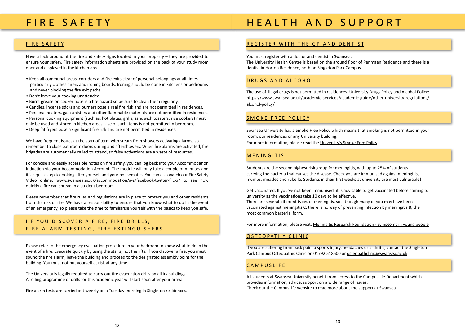### <span id="page-6-0"></span>FIRE SAFETY

#### FIRE SAFETY

Have a look around at the fire and safety signs located in your property – they are provided to ensure your safety. Fire safety information sheets are provided on the back of your study room door and displayed in the kitchen area.

- Keep all communal areas, corridors and fire exits clear of personal belongings at all times particularly clothes airers and ironing boards. Ironing should be done in kitchens or bedrooms and never blocking the fire exit paths.
- Don't leave your cooking unattended.
- Burnt grease on cooker hobs is a fire hazard so be sure to clean them regularly.
- Candles, incense sticks and burners pose a real fire risk and are not permitted in residences.
- Personal heaters, gas canisters and other flammable materials are not permitted in residences.
- Personal cooking equipment (such as: hot plates; grills; sandwich toasters; rice cookers) must
- only be used and stored in kitchen areas. Use of such items is not permitted in bedrooms.
- Deep fat fryers pose a significant fire risk and are not permitted in residences.

We have frequent issues at the start of term with steam from showers activating alarms, so remember to close bathroom doors during and aftershowers. When fire alarms are activated, fire brigades are automatically called to attend, so false activations are a waste of resources.

For concise and easily accessible notes on fire safety, you can log back into your Accommodation Induction via your [Accommodation Account](https://universityservices.swan.ac.uk/contracts/). The module will only take a couple of minutes and it's a quick step to looking after yourself and your housemates. You can also watch our [Fire Safety](http://www.swansea.ac.uk/parents-guide/student-support/fire-safety/) [Video](http://www.swansea.ac.uk/parents-guide/student-support/fire-safety/) online: www.swansea.ac.uk/accommodation/a-z/facebook-twitter-flickr/ to see how quickly a fire can spread in a student bedroom.

The use of illegal drugs is not permitted in residences. [University Drugs Policy](http://www.swansea.ac.uk/media/Drugs%20Policy%20Final.pdf) and [Alcohol Policy:](https://www.swansea.ac.uk/media/Student%20Alcohol%20Policy.pdf) https://www.swansea.ac.uk/academic-services/academic-guide/other-university-regulations/ alcohol-policy/

Please remember that fire rules and regulations are in place to protect you and other residents from the risk of fire. We have a responsibility to ensure that you know what to do in the event of an emergency, so please take the time to familiarise yourself with the basics to keep you safe.

### I F YOU DISCOVER A FIRE, FIRE DRILLS, FIRE ALARM TESTING, FIRE EXTINGUISHERS

If you are suffering from back pain, a sports injury, headaches or arthritis, contact the Singleton Park Campus Osteopathic Clinic on 01792 518600 or [osteopathclinic@swansea.ac.uk](mailto:osteopathclinic@swansea.ac.uk)

### **CAMPUSLIFE**

Please refer to the emergency evacuation procedure in your bedroom to know what to do in the event of a fire. Evacuate quickly by using the stairs; not the lifts. If you discover a fire, you must sound the fire alarm, leave the building and proceed to the designated assembly point for the building. You must not put yourself at risk at any time.

The University is legally required to carry out fire evacuation drills on all its buildings. A rolling programme of drills for this academic year will start soon after your arrival.

Fire alarm tests are carried out weekly on a Tuesday morning in Singleton residences.

# HEALTH AND SUPPORT

### REGISTER WITH THE GP AND DENTIST

You must register with a doctor and dentist in Swansea. The University Health Centre is based on the ground floor of Penmaen Residence and there is a dentist in Horton Residence, both on Singleton Park Campus.

#### DRUGS AND ALCOHOL

#### SMOKE FREE POLICY

Swansea University has a Smoke Free Policy which means that smoking is not permitted in your room, our residences or any University building. For more information, please read the [University's Smoke Free Policy](https://www.swansea.ac.uk/media/Smoke-Freey-Policy-36119-en.doc).

#### MENINGITIS

Students are the second highest risk group for meningitis, with up to 25% of students carrying the bacteria that causes the disease. Check you are immunised against meningitis, mumps, measles and rubella. Students in their first weeks at university are most vulnerable!

Get vaccinated. If you've not been immunised, it is advisable to get vaccinated before coming to university as the vaccinations take 10 days to be effective. There are several different types of meningitis, so although many of you may have been vaccinated against meningitis C, there is no way of preventing infection by meningitis B, the most common bacterial form.

For more information, please visit: [Meningitis Research Foundation - symptoms in young people](http://www.meningitis.org/symptoms/young-people)

#### OSTEOPATHY CLINIC

All students at Swansea University benefit from access to the CampusLife Department which provides information, advice, support on a wide range of issues. Check out the [CampusLife website](http://www.swansea.ac.uk/campuslife/) to read more about the support at Swansea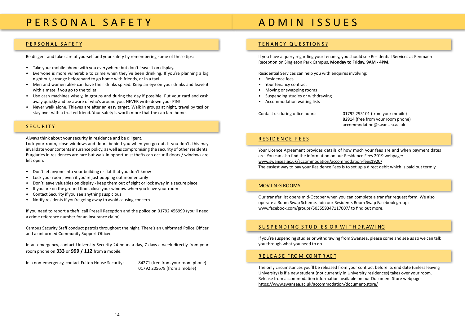## <span id="page-7-0"></span>P E R S O N A L S A F E T Y

# A D M I N I S S U E S

#### PERSONAL SAFETY

Be diligent and take care of yourself and your safety by remembering some of these tips:

- Take your mobile phone with you everywhere but don't leave it on display.
- Everyone is more vulnerable to crime when they've been drinking. If you're planning a big night out, arrange beforehand to go home with friends, or in a taxi.
- Men and women alike can have their drinks spiked. Keep an eye on your drinks and leave it with a mate if you go to the toilet.
- Use cash machines wisely, in groups and during the day if possible. Put your card and cash away quickly and be aware of who's around you. NEVER write down your PIN!
- Never walk alone. Thieves are after an easy target. Walk in groups at night, travel by taxi or stay over with a trusted friend. Your safety is worth more that the cab fare home.

#### **SECURITY**

Always think about your security in residence and be diligent.

Lock your room, close windows and doors behind you when you go out. If you don't, this may invalidate your contents insurance policy, as well as compromising the security of other residents. Burglaries in residences are rare but walk-in opportunist thefts can occur if doors / windows are left open.

- Don't let anyone into your building or flat that you don't know
- Lock your room, even if you're just popping out momentarily
- Don't leave valuables on display keep them out of sight or lock away in a secure place
- If you are on the ground floor, close your window when you leave your room
- Contact Security if you see anything suspicious
- Notify residents if you're going away to avoid causing concern

If you need to report a theft, call Preseli Reception and the police on 01792 456999 (you'll need a crime reference number for an insurance claim).

Campus Security Staff conduct patrols throughout the night. There's an uniformed Police Officer and a uniformed Community Support Officer.

In an emergency, contact University Security 24 hours a day, 7 days a week directly from your room phone on **333** or **999 / 112** from a mobile.

In a non-emergency, contact Fulton House Security: 84271 (free from your room phone)

01792 205678 (from a mobile)



#### TENANCY QUESTIONS?

If you have a query regarding your tenancy, you should see Residential Services at Penmaen Reception on Singleton Park Campus, **Monday to Friday, 9AM - 4PM**.

Residential Services can help you with enquires involving:

- Residence fees
- Your tenancy contract
- Moving or swapping rooms
- Suspending studies or withdrawing
- Accommodation waiting lists

Contact us during office hours: 01792 295101 (from your mobile) 82914 (free from your room phone) [accommodation@swansea.ac.uk](mailto:accommodation@swansea.ac.uk)

#### RESIDENCE FEES

Your Licence Agreement provides details of how much your fees are and when payment dates are. You can also find the information on our Residence Fees 2019 webpage: www.swansea.ac.uk/accommodation/accommodation-fees1920/ The easiest way to pay your Residence Fees is to set up a direct debit which is paid out termly.

#### MOV I N G ROOMS

Our transfer list opens mid-October when you can complete a transfer request form. We also operate a Room Swap Scheme. Join our Residents Room Swap Facebook group: www.facebook.com/groups/503559347117007/ to find out more.

#### SUSPENDING STUDIES OR WITHDRAWING

If you're suspending studies or withdrawing from Swansea, please come and see us so we can talk you through what you need to do.

#### R E L E A S E F RO M CO N T R AC T

The only circumstances you'll be released from your contract before its end date (unless leaving University) is if a new student (not currently in University residences) takes over your room. Release from accommodation information available on our Document Store webpage: https://www.swansea.ac.uk/accommodation/document-store/